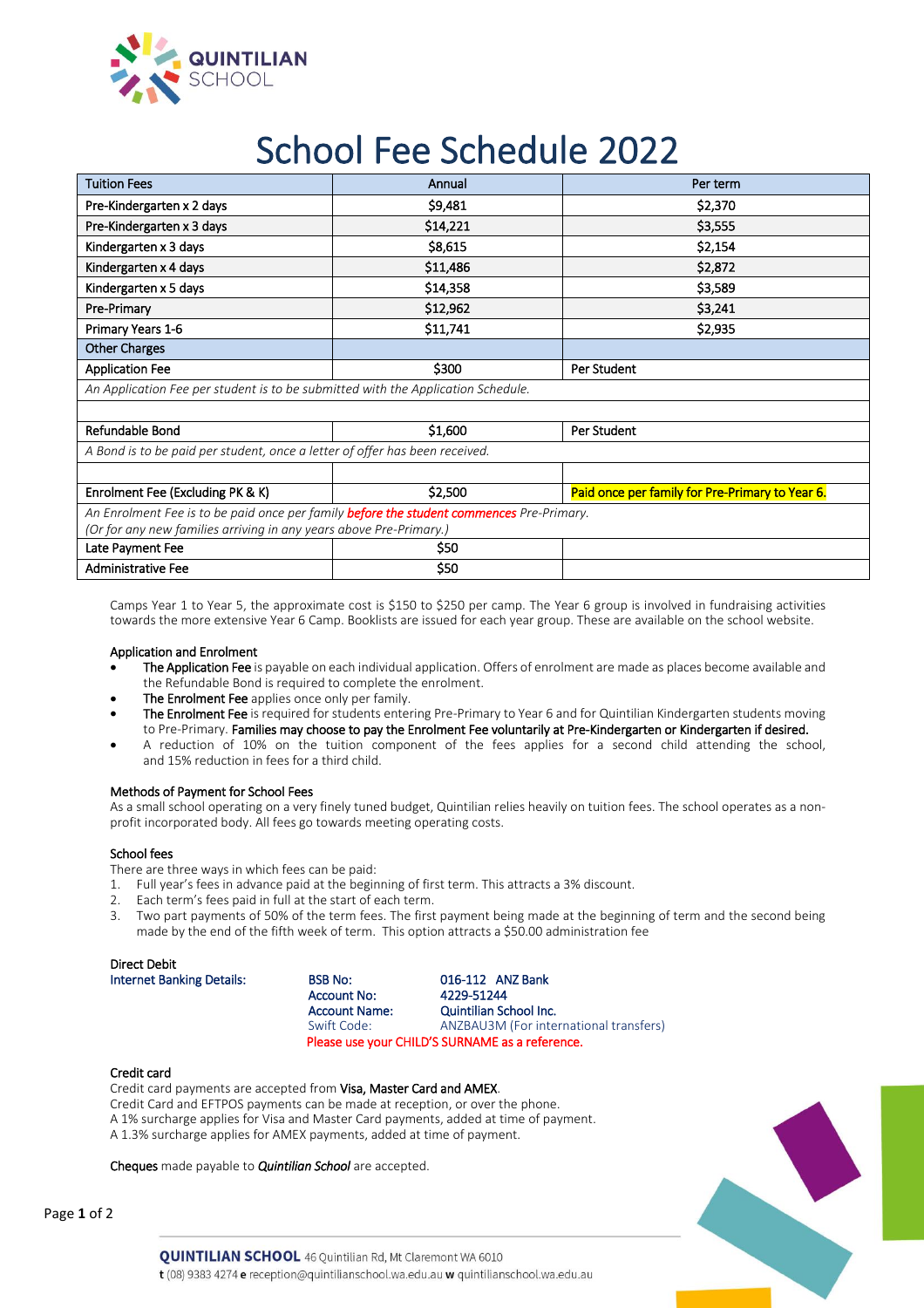

# School Fee Schedule 2022

| <b>Tuition Fees</b>                                                                             | Annual   | Per term                                        |  |  |  |  |  |
|-------------------------------------------------------------------------------------------------|----------|-------------------------------------------------|--|--|--|--|--|
| Pre-Kindergarten x 2 days                                                                       | \$9,481  | \$2,370                                         |  |  |  |  |  |
| Pre-Kindergarten x 3 days                                                                       | \$14,221 | \$3,555                                         |  |  |  |  |  |
| Kindergarten x 3 days                                                                           | \$8,615  | \$2,154                                         |  |  |  |  |  |
| Kindergarten x 4 days                                                                           | \$11,486 | \$2,872                                         |  |  |  |  |  |
| Kindergarten x 5 days                                                                           | \$14,358 | \$3,589                                         |  |  |  |  |  |
| Pre-Primary                                                                                     | \$12,962 | \$3,241                                         |  |  |  |  |  |
| Primary Years 1-6                                                                               | \$11,741 | \$2,935                                         |  |  |  |  |  |
| <b>Other Charges</b>                                                                            |          |                                                 |  |  |  |  |  |
| <b>Application Fee</b>                                                                          | \$300    | Per Student                                     |  |  |  |  |  |
| An Application Fee per student is to be submitted with the Application Schedule.                |          |                                                 |  |  |  |  |  |
|                                                                                                 |          |                                                 |  |  |  |  |  |
| Refundable Bond                                                                                 | \$1,600  | Per Student                                     |  |  |  |  |  |
| A Bond is to be paid per student, once a letter of offer has been received.                     |          |                                                 |  |  |  |  |  |
|                                                                                                 |          |                                                 |  |  |  |  |  |
| Enrolment Fee (Excluding PK & K)                                                                | \$2,500  | Paid once per family for Pre-Primary to Year 6. |  |  |  |  |  |
| An Enrolment Fee is to be paid once per family <b>before the student commences</b> Pre-Primary. |          |                                                 |  |  |  |  |  |
| (Or for any new families arriving in any years above Pre-Primary.)                              |          |                                                 |  |  |  |  |  |
| Late Payment Fee                                                                                | \$50     |                                                 |  |  |  |  |  |
| <b>Administrative Fee</b>                                                                       | \$50     |                                                 |  |  |  |  |  |

Camps Year 1 to Year 5, the approximate cost is \$150 to \$250 per camp. The Year 6 group is involved in fundraising activities towards the more extensive Year 6 Camp. Booklists are issued for each year group. These are available on the school website.

### Application and Enrolment

- The Application Fee is payable on each individual application. Offers of enrolment are made as places become available and the Refundable Bond is required to complete the enrolment.
- The Enrolment Fee applies once only per family.
- The Enrolment Fee is required for students entering Pre-Primary to Year 6 and for Quintilian Kindergarten students moving to Pre-Primary. Families may choose to pay the Enrolment Fee voluntarily at Pre-Kindergarten or Kindergarten if desired.
- A reduction of 10% on the tuition component of the fees applies for a second child attending the school, and 15% reduction in fees for a third child.

#### Methods of Payment for School Fees

As a small school operating on a very finely tuned budget, Quintilian relies heavily on tuition fees. The school operates as a nonprofit incorporated body. All fees go towards meeting operating costs.

#### School fees

There are three ways in which fees can be paid:

- 1. Full year's fees in advance paid at the beginning of first term. This attracts a 3% discount.
- 2. Each term's fees paid in full at the start of each term.<br>3. Two part payments of 50% of the term fees. The first
- Two part payments of 50% of the term fees. The first payment being made at the beginning of term and the second being made by the end of the fifth week of term. This option attracts a \$50.00 administration fee

| Direct Debit |  |
|--------------|--|
|              |  |

| <b>Internet Banking Details:</b> | <b>BSB No:</b>       | 016-112 ANZ Bank                                |
|----------------------------------|----------------------|-------------------------------------------------|
|                                  | Account No:          | 4229-51244                                      |
|                                  | <b>Account Name:</b> | Quintilian School Inc.                          |
|                                  | Swift Code:          | ANZBAU3M (For international transfers)          |
|                                  |                      | Please use your CHILD'S SURNAME as a reference. |

#### Credit card

Credit card payments are accepted from Visa, Master Card and AMEX. Credit Card and EFTPOS payments can be made at reception, or over the phone. A 1% surcharge applies for Visa and Master Card payments, added at time of payment. A 1.3% surcharge applies for AMEX payments, added at time of payment.

Cheques made payable to *Quintilian School* are accepted.